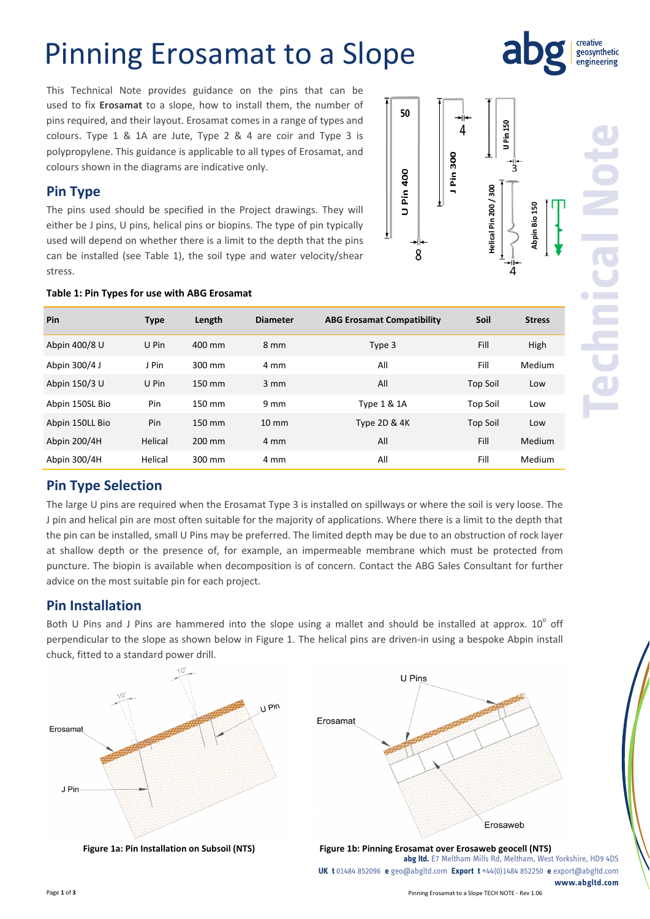# Pinning Erosamat to a Slope

This Technical Note provides guidance on the pins that can be used to fix **Erosamat** to a slope, how to install them, the number of pins required, and their layout. Erosamat comes in a range of types and colours. Type 1 & 1A are Jute, Type 2 & 4 are coir and Type 3 is polypropylene. This guidance is applicable to all types of Erosamat, and colours shown in the diagrams are indicative only.

## **Pin Type**

The pins used should be specified in the Project drawings. They will either be J pins, U pins, helical pins or biopins. The type of pin typically used will depend on whether there is a limit to the depth that the pins can be installed (see Table 1), the soil type and water velocity/shear stress.



creative geosynthetic

#### **Table 1: Pin Types for use with ABG Erosamat**

| Pin             | <b>Type</b> | Length | <b>Diameter</b>  | <b>ABG Erosamat Compatibility</b> | Soil            | <b>Stress</b> |
|-----------------|-------------|--------|------------------|-----------------------------------|-----------------|---------------|
| Abpin 400/8 U   | U Pin       | 400 mm | 8 mm             | Type 3                            | Fill            | High          |
| Abpin 300/4 J   | J Pin       | 300 mm | 4 mm             | All                               | Fill            | Medium        |
| Abpin 150/3 U   | U Pin       | 150 mm | $3 \, \text{mm}$ | All                               | <b>Top Soil</b> | Low           |
| Abpin 150SL Bio | Pin         | 150 mm | 9 <sub>mm</sub>  | <b>Type 1 &amp; 1A</b>            | <b>Top Soil</b> | Low           |
| Abpin 150LL Bio | Pin         | 150 mm | $10 \text{ mm}$  | Type 2D & 4K                      | <b>Top Soil</b> | Low           |
| Abpin 200/4H    | Helical     | 200 mm | 4 mm             | All                               | Fill            | Medium        |
| Abpin 300/4H    | Helical     | 300 mm | 4 mm             | All                               | Fill            | Medium        |

## **Pin Type Selection**

The large U pins are required when the Erosamat Type 3 is installed on spillways or where the soil is very loose. The J pin and helical pin are most often suitable for the majority of applications. Where there is a limit to the depth that the pin can be installed, small U Pins may be preferred. The limited depth may be due to an obstruction of rock layer at shallow depth or the presence of, for example, an impermeable membrane which must be protected from puncture. The biopin is available when decomposition is of concern. Contact the ABG Sales Consultant for further advice on the most suitable pin for each project.

## **Pin Installation**

Both U Pins and J Pins are hammered into the slope using a mallet and should be installed at approx.  $10^{\circ}$  off perpendicular to the slope as shown below in Figure 1. The helical pins are driven-in using a bespoke Abpin install chuck, fitted to a standard power drill.



Page **1** of **3** Pinning Erosamat to a Slope TECH NOTE ‐ Rev 1.06 **www.abgltd.com**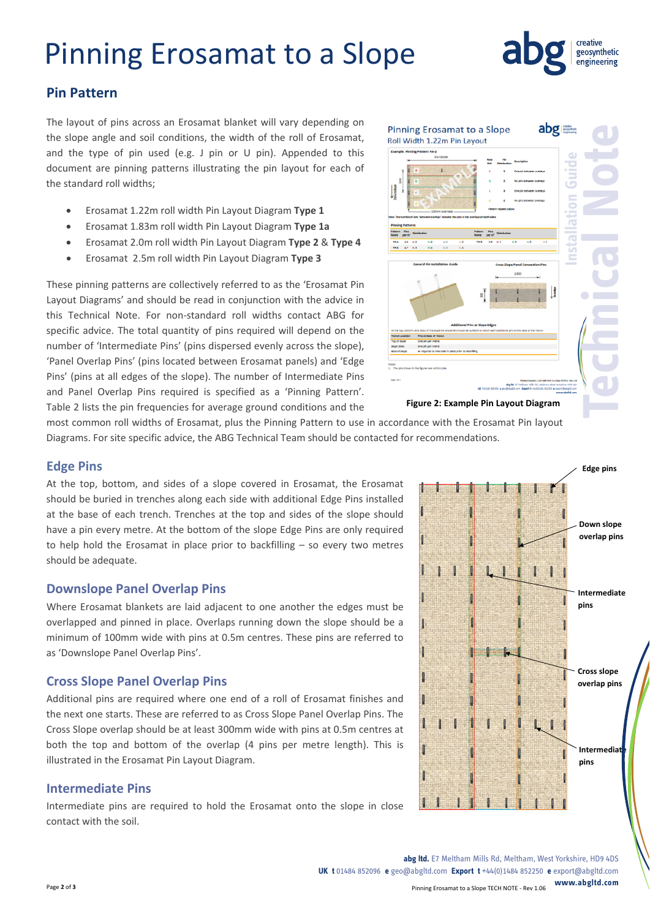# Pinning Erosamat to a Slope



### **Pin Pattern**

The layout of pins across an Erosamat blanket will vary depending on the slope angle and soil conditions, the width of the roll of Erosamat, and the type of pin used (e.g. J pin or U pin). Appended to this document are pinning patterns illustrating the pin layout for each of the standard roll widths;

- Erosamat 1.22m roll width Pin Layout Diagram **Type 1**
- Erosamat 1.83m roll width Pin Layout Diagram **Type 1a**
- Erosamat 2.0m roll width Pin Layout Diagram **Type 2** & **Type 4**
- Erosamat 2.5m roll width Pin Layout Diagram **Type 3**

These pinning patterns are collectively referred to as the 'Erosamat Pin Layout Diagrams' and should be read in conjunction with the advice in this Technical Note. For non‐standard roll widths contact ABG for specific advice. The total quantity of pins required will depend on the number of 'Intermediate Pins' (pins dispersed evenly across the slope), 'Panel Overlap Pins' (pins located between Erosamat panels) and 'Edge Pins' (pins at all edges of the slope). The number of Intermediate Pins and Panel Overlap Pins required is specified as a 'Pinning Pattern'. Table 2 lists the pin frequencies for average ground conditions and the



most common roll widths of Erosamat, plus the Pinning Pattern to use in accordance with the Erosamat Pin layout Diagrams. For site specific advice, the ABG Technical Team should be contacted for recommendations.

#### **Edge Pins**

At the top, bottom, and sides of a slope covered in Erosamat, the Erosamat should be buried in trenches along each side with additional Edge Pins installed at the base of each trench. Trenches at the top and sides of the slope should have a pin every metre. At the bottom of the slope Edge Pins are only required to help hold the Erosamat in place prior to backfilling – so every two metres should be adequate.

### **Downslope Panel Overlap Pins**

Where Erosamat blankets are laid adjacent to one another the edges must be overlapped and pinned in place. Overlaps running down the slope should be a minimum of 100mm wide with pins at 0.5m centres. These pins are referred to as 'Downslope Panel Overlap Pins'.

### **Cross Slope Panel Overlap Pins**

Additional pins are required where one end of a roll of Erosamat finishes and the next one starts. These are referred to as Cross Slope Panel Overlap Pins. The Cross Slope overlap should be at least 300mm wide with pins at 0.5m centres at both the top and bottom of the overlap (4 pins per metre length). This is illustrated in the Erosamat Pin Layout Diagram.

#### **Intermediate Pins**

Intermediate pins are required to hold the Erosamat onto the slope in close contact with the soil.